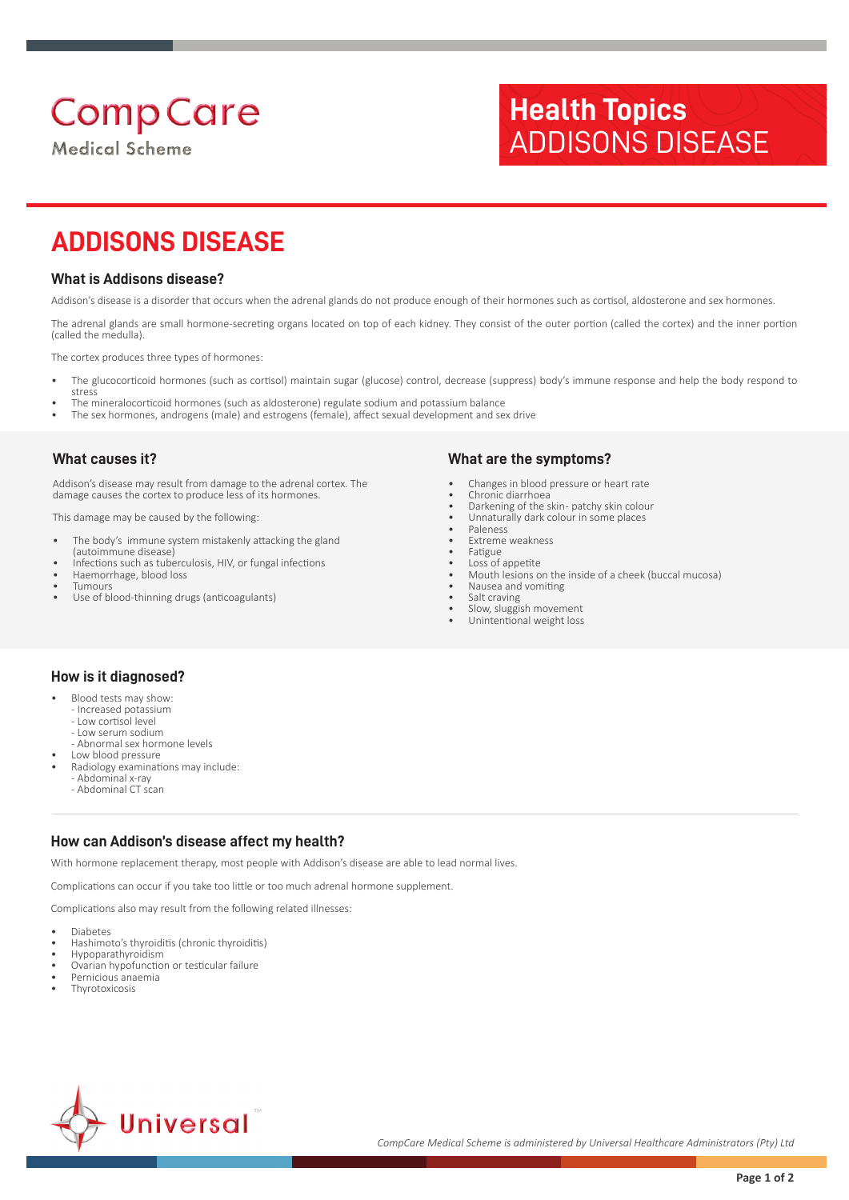# **Comp Care**

**Medical Scheme** 

## **Health Topics** ADDISONS DISEASE

### **ADDISONS DISEASE**

#### **What is Addisons disease?**

Addison's disease is a disorder that occurs when the adrenal glands do not produce enough of their hormones such as cortisol, aldosterone and sex hormones.

The adrenal glands are small hormone-secreting organs located on top of each kidney. They consist of the outer portion (called the cortex) and the inner portion (called the medulla).

The cortex produces three types of hormones:

- The glucocorticoid hormones (such as cortisol) maintain sugar (glucose) control, decrease (suppress) body's immune response and help the body respond to stress
- The mineralocorticoid hormones (such as aldosterone) regulate sodium and potassium balance
- The sex hormones, androgens (male) and estrogens (female), affect sexual development and sex drive

#### **What causes it?**

Addison's disease may result from damage to the adrenal cortex. The damage causes the cortex to produce less of its hormones.

This damage may be caused by the following:

- The body's immune system mistakenly attacking the gland (autoimmune disease)
- Infections such as tuberculosis, HIV, or fungal infections
- Haemorrhage, blood loss **Tumours**
- Use of blood-thinning drugs (anticoagulants)

#### **What are the symptoms?**

- Changes in blood pressure or heart rate
- Chronic diarrhoea Darkening of the skin- patchy skin colour
- Unnaturally dark colour in some places
- Paleness
- Extreme weakness
- Fatigue
- Loss of appetite • Mouth lesions on the inside of a cheek (buccal mucosa)
- Nausea and vomiting
- Salt craving
- Slow, sluggish movement
- Unintentional weight loss

#### **How is it diagnosed?**

- Blood tests may show:
	- Increased potassium - Low cortisol level
	- Low serum sodium
	- Abnormal sex hormone levels
- Low blood pressure
- Radiology examinations may include:
	- Abdominal x-ray - Abdominal CT scan
	-

#### **How can Addison's disease affect my health?**

With hormone replacement therapy, most people with Addison's disease are able to lead normal lives.

Complications can occur if you take too little or too much adrenal hormone supplement.

Complications also may result from the following related illnesses:

- Diabetes
- Hashimoto's thyroiditis (chronic thyroiditis)
- Hypoparathyroidism
- Ovarian hypofunction or testicular failure
- Pernicious anaemia **Thyrotoxicosis**
-